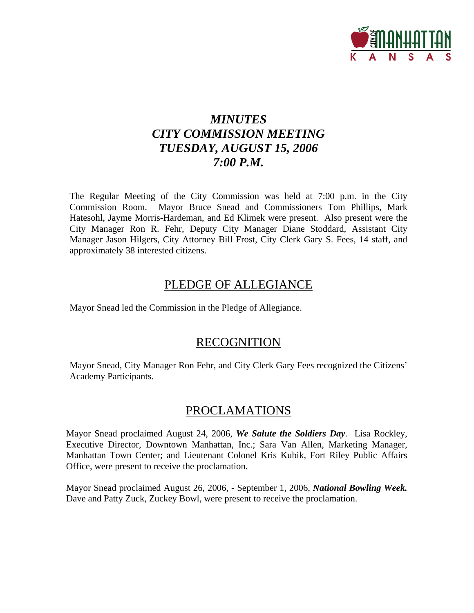

# *MINUTES CITY COMMISSION MEETING TUESDAY, AUGUST 15, 2006 7:00 P.M.*

The Regular Meeting of the City Commission was held at 7:00 p.m. in the City Commission Room. Mayor Bruce Snead and Commissioners Tom Phillips, Mark Hatesohl, Jayme Morris-Hardeman, and Ed Klimek were present. Also present were the City Manager Ron R. Fehr, Deputy City Manager Diane Stoddard, Assistant City Manager Jason Hilgers, City Attorney Bill Frost, City Clerk Gary S. Fees, 14 staff, and approximately 38 interested citizens.

# PLEDGE OF ALLEGIANCE

Mayor Snead led the Commission in the Pledge of Allegiance.

## **RECOGNITION**

Mayor Snead, City Manager Ron Fehr, and City Clerk Gary Fees recognized the Citizens' Academy Participants.

## PROCLAMATIONS

Mayor Snead proclaimed August 24, 2006, *We Salute the Soldiers Day*. Lisa Rockley, Executive Director, Downtown Manhattan, Inc.; Sara Van Allen, Marketing Manager, Manhattan Town Center; and Lieutenant Colonel Kris Kubik, Fort Riley Public Affairs Office, were present to receive the proclamation.

Mayor Snead proclaimed August 26, 2006, - September 1, 2006, *National Bowling Week.*  Dave and Patty Zuck, Zuckey Bowl, were present to receive the proclamation.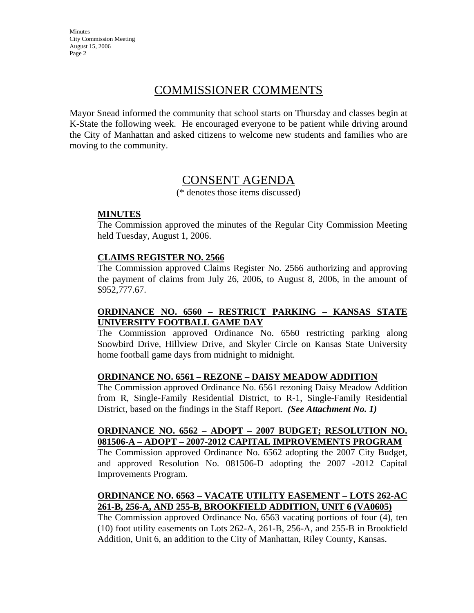# COMMISSIONER COMMENTS

Mayor Snead informed the community that school starts on Thursday and classes begin at K-State the following week. He encouraged everyone to be patient while driving around the City of Manhattan and asked citizens to welcome new students and families who are moving to the community.

## CONSENT AGENDA

(\* denotes those items discussed)

#### **MINUTES**

The Commission approved the minutes of the Regular City Commission Meeting held Tuesday, August 1, 2006.

#### **CLAIMS REGISTER NO. 2566**

The Commission approved Claims Register No. 2566 authorizing and approving the payment of claims from July 26, 2006, to August 8, 2006, in the amount of \$952,777.67.

## **ORDINANCE NO. 6560 – RESTRICT PARKING – KANSAS STATE UNIVERSITY FOOTBALL GAME DAY**

The Commission approved Ordinance No. 6560 restricting parking along Snowbird Drive, Hillview Drive, and Skyler Circle on Kansas State University home football game days from midnight to midnight.

#### **ORDINANCE NO. 6561 – REZONE – DAISY MEADOW ADDITION**

The Commission approved Ordinance No. 6561 rezoning Daisy Meadow Addition from R, Single-Family Residential District, to R-1, Single-Family Residential District, based on the findings in the Staff Report. *(See Attachment No. 1)*

#### **ORDINANCE NO. 6562 – ADOPT – 2007 BUDGET; RESOLUTION NO. 081506-A – ADOPT – 2007-2012 CAPITAL IMPROVEMENTS PROGRAM**

The Commission approved Ordinance No. 6562 adopting the 2007 City Budget, and approved Resolution No. 081506-D adopting the 2007 -2012 Capital Improvements Program.

## **ORDINANCE NO. 6563 – VACATE UTILITY EASEMENT – LOTS 262-AC 261-B, 256-A, AND 255-B, BROOKFIELD ADDITION, UNIT 6 (VA0605)**

The Commission approved Ordinance No. 6563 vacating portions of four (4), ten (10) foot utility easements on Lots 262-A, 261-B, 256-A, and 255-B in Brookfield Addition, Unit 6, an addition to the City of Manhattan, Riley County, Kansas.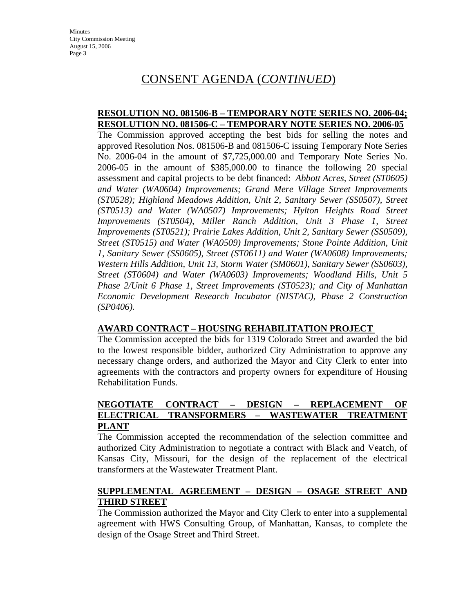# CONSENT AGENDA (*CONTINUED*)

#### **RESOLUTION NO. 081506-B – TEMPORARY NOTE SERIES NO. 2006-04; RESOLUTION NO. 081506-C – TEMPORARY NOTE SERIES NO. 2006-05**

The Commission approved accepting the best bids for selling the notes and approved Resolution Nos. 081506-B and 081506-C issuing Temporary Note Series No. 2006-04 in the amount of \$7,725,000.00 and Temporary Note Series No. 2006-05 in the amount of \$385,000.00 to finance the following 20 special assessment and capital projects to be debt financed: *Abbott Acres, Street (ST0605) and Water (WA0604) Improvements; Grand Mere Village Street Improvements (ST0528); Highland Meadows Addition, Unit 2, Sanitary Sewer (SS0507), Street (ST0513) and Water (WA0507) Improvements; Hylton Heights Road Street Improvements (ST0504), Miller Ranch Addition, Unit 3 Phase 1, Street Improvements (ST0521); Prairie Lakes Addition, Unit 2, Sanitary Sewer (SS0509), Street (ST0515) and Water (WA0509) Improvements; Stone Pointe Addition, Unit 1, Sanitary Sewer (SS0605), Street (ST0611) and Water (WA0608) Improvements; Western Hills Addition, Unit 13, Storm Water (SM0601), Sanitary Sewer (SS0603), Street (ST0604) and Water (WA0603) Improvements; Woodland Hills, Unit 5 Phase 2/Unit 6 Phase 1, Street Improvements (ST0523); and City of Manhattan Economic Development Research Incubator (NISTAC), Phase 2 Construction (SP0406).* 

## **AWARD CONTRACT – HOUSING REHABILITATION PROJECT**

The Commission accepted the bids for 1319 Colorado Street and awarded the bid to the lowest responsible bidder, authorized City Administration to approve any necessary change orders, and authorized the Mayor and City Clerk to enter into agreements with the contractors and property owners for expenditure of Housing Rehabilitation Funds.

#### **NEGOTIATE CONTRACT – DESIGN – REPLACEMENT OF ELECTRICAL TRANSFORMERS – WASTEWATER TREATMENT PLANT**

The Commission accepted the recommendation of the selection committee and authorized City Administration to negotiate a contract with Black and Veatch, of Kansas City, Missouri, for the design of the replacement of the electrical transformers at the Wastewater Treatment Plant.

## **SUPPLEMENTAL AGREEMENT – DESIGN – OSAGE STREET AND THIRD STREET**

The Commission authorized the Mayor and City Clerk to enter into a supplemental agreement with HWS Consulting Group, of Manhattan, Kansas, to complete the design of the Osage Street and Third Street.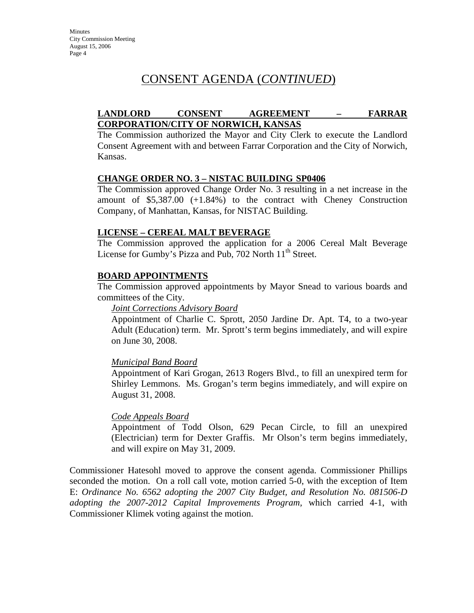# CONSENT AGENDA (*CONTINUED*)

## **LANDLORD CONSENT AGREEMENT – FARRAR CORPORATION/CITY OF NORWICH, KANSAS**

The Commission authorized the Mayor and City Clerk to execute the Landlord Consent Agreement with and between Farrar Corporation and the City of Norwich, Kansas.

#### **CHANGE ORDER NO. 3 – NISTAC BUILDING SP0406**

The Commission approved Change Order No. 3 resulting in a net increase in the amount of \$5,387.00 (+1.84%) to the contract with Cheney Construction Company, of Manhattan, Kansas, for NISTAC Building.

#### **LICENSE – CEREAL MALT BEVERAGE**

The Commission approved the application for a 2006 Cereal Malt Beverage License for Gumby's Pizza and Pub, 702 North  $11<sup>th</sup>$  Street.

#### **BOARD APPOINTMENTS**

The Commission approved appointments by Mayor Snead to various boards and committees of the City.

*Joint Corrections Advisory Board*

Appointment of Charlie C. Sprott, 2050 Jardine Dr. Apt. T4, to a two-year Adult (Education) term. Mr. Sprott's term begins immediately, and will expire on June 30, 2008.

#### *Municipal Band Board*

Appointment of Kari Grogan, 2613 Rogers Blvd., to fill an unexpired term for Shirley Lemmons. Ms. Grogan's term begins immediately, and will expire on August 31, 2008.

#### *Code Appeals Board*

Appointment of Todd Olson, 629 Pecan Circle, to fill an unexpired (Electrician) term for Dexter Graffis. Mr Olson's term begins immediately, and will expire on May 31, 2009.

Commissioner Hatesohl moved to approve the consent agenda. Commissioner Phillips seconded the motion. On a roll call vote, motion carried 5-0, with the exception of Item E: *Ordinance No. 6562 adopting the 2007 City Budget, and Resolution No. 081506-D adopting the 2007-2012 Capital Improvements Program,* which carried 4-1, with Commissioner Klimek voting against the motion.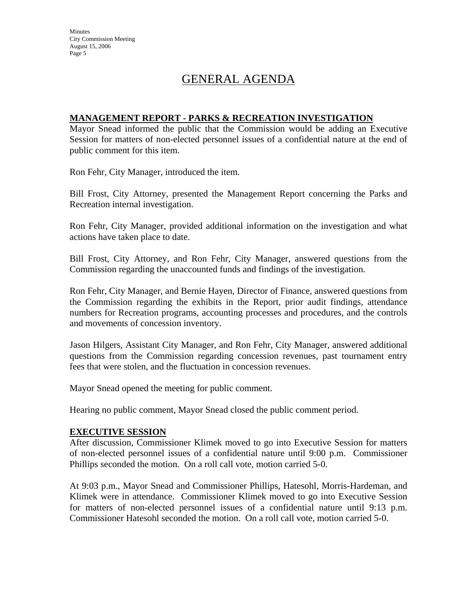# GENERAL AGENDA

#### **MANAGEMENT REPORT - PARKS & RECREATION INVESTIGATION**

Mayor Snead informed the public that the Commission would be adding an Executive Session for matters of non-elected personnel issues of a confidential nature at the end of public comment for this item.

Ron Fehr, City Manager, introduced the item.

Bill Frost, City Attorney, presented the Management Report concerning the Parks and Recreation internal investigation.

Ron Fehr, City Manager, provided additional information on the investigation and what actions have taken place to date.

Bill Frost, City Attorney, and Ron Fehr, City Manager, answered questions from the Commission regarding the unaccounted funds and findings of the investigation.

Ron Fehr, City Manager, and Bernie Hayen, Director of Finance, answered questions from the Commission regarding the exhibits in the Report, prior audit findings, attendance numbers for Recreation programs, accounting processes and procedures, and the controls and movements of concession inventory.

Jason Hilgers, Assistant City Manager, and Ron Fehr, City Manager, answered additional questions from the Commission regarding concession revenues, past tournament entry fees that were stolen, and the fluctuation in concession revenues.

Mayor Snead opened the meeting for public comment.

Hearing no public comment, Mayor Snead closed the public comment period.

#### **EXECUTIVE SESSION**

After discussion, Commissioner Klimek moved to go into Executive Session for matters of non-elected personnel issues of a confidential nature until 9:00 p.m. Commissioner Phillips seconded the motion. On a roll call vote, motion carried 5-0.

At 9:03 p.m., Mayor Snead and Commissioner Phillips, Hatesohl, Morris-Hardeman, and Klimek were in attendance. Commissioner Klimek moved to go into Executive Session for matters of non-elected personnel issues of a confidential nature until 9:13 p.m. Commissioner Hatesohl seconded the motion. On a roll call vote, motion carried 5-0.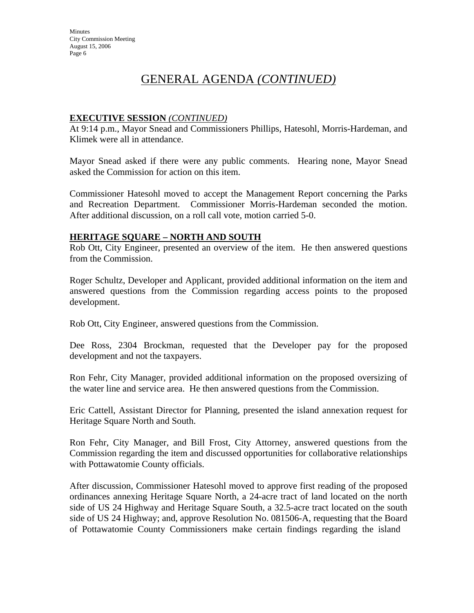#### **EXECUTIVE SESSION** *(CONTINUED)*

At 9:14 p.m., Mayor Snead and Commissioners Phillips, Hatesohl, Morris-Hardeman, and Klimek were all in attendance.

Mayor Snead asked if there were any public comments. Hearing none, Mayor Snead asked the Commission for action on this item.

Commissioner Hatesohl moved to accept the Management Report concerning the Parks and Recreation Department. Commissioner Morris-Hardeman seconded the motion. After additional discussion, on a roll call vote, motion carried 5-0.

#### **HERITAGE SQUARE – NORTH AND SOUTH**

Rob Ott, City Engineer, presented an overview of the item. He then answered questions from the Commission.

Roger Schultz, Developer and Applicant, provided additional information on the item and answered questions from the Commission regarding access points to the proposed development.

Rob Ott, City Engineer, answered questions from the Commission.

Dee Ross, 2304 Brockman, requested that the Developer pay for the proposed development and not the taxpayers.

Ron Fehr, City Manager, provided additional information on the proposed oversizing of the water line and service area. He then answered questions from the Commission.

Eric Cattell, Assistant Director for Planning, presented the island annexation request for Heritage Square North and South.

Ron Fehr, City Manager, and Bill Frost, City Attorney, answered questions from the Commission regarding the item and discussed opportunities for collaborative relationships with Pottawatomie County officials.

After discussion, Commissioner Hatesohl moved to approve first reading of the proposed ordinances annexing Heritage Square North, a 24-acre tract of land located on the north side of US 24 Highway and Heritage Square South, a 32.5-acre tract located on the south side of US 24 Highway; and, approve Resolution No. 081506-A, requesting that the Board of Pottawatomie County Commissioners make certain findings regarding the island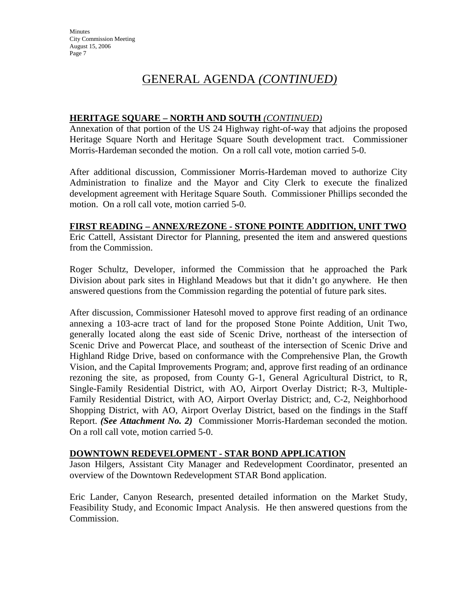## **HERITAGE SQUARE – NORTH AND SOUTH** *(CONTINUED)*

Annexation of that portion of the US 24 Highway right-of-way that adjoins the proposed Heritage Square North and Heritage Square South development tract. Commissioner Morris-Hardeman seconded the motion. On a roll call vote, motion carried 5-0.

After additional discussion, Commissioner Morris-Hardeman moved to authorize City Administration to finalize and the Mayor and City Clerk to execute the finalized development agreement with Heritage Square South. Commissioner Phillips seconded the motion. On a roll call vote, motion carried 5-0.

## **FIRST READING – ANNEX/REZONE - STONE POINTE ADDITION, UNIT TWO**

Eric Cattell, Assistant Director for Planning, presented the item and answered questions from the Commission.

Roger Schultz, Developer, informed the Commission that he approached the Park Division about park sites in Highland Meadows but that it didn't go anywhere. He then answered questions from the Commission regarding the potential of future park sites.

After discussion, Commissioner Hatesohl moved to approve first reading of an ordinance annexing a 103-acre tract of land for the proposed Stone Pointe Addition, Unit Two, generally located along the east side of Scenic Drive, northeast of the intersection of Scenic Drive and Powercat Place, and southeast of the intersection of Scenic Drive and Highland Ridge Drive, based on conformance with the Comprehensive Plan, the Growth Vision, and the Capital Improvements Program; and, approve first reading of an ordinance rezoning the site, as proposed, from County G-1, General Agricultural District, to R, Single-Family Residential District, with AO, Airport Overlay District; R-3, Multiple-Family Residential District, with AO, Airport Overlay District; and, C-2, Neighborhood Shopping District, with AO, Airport Overlay District, based on the findings in the Staff Report. *(See Attachment No. 2)* Commissioner Morris-Hardeman seconded the motion. On a roll call vote, motion carried 5-0.

## **DOWNTOWN REDEVELOPMENT - STAR BOND APPLICATION**

Jason Hilgers, Assistant City Manager and Redevelopment Coordinator, presented an overview of the Downtown Redevelopment STAR Bond application.

Eric Lander, Canyon Research, presented detailed information on the Market Study, Feasibility Study, and Economic Impact Analysis. He then answered questions from the Commission.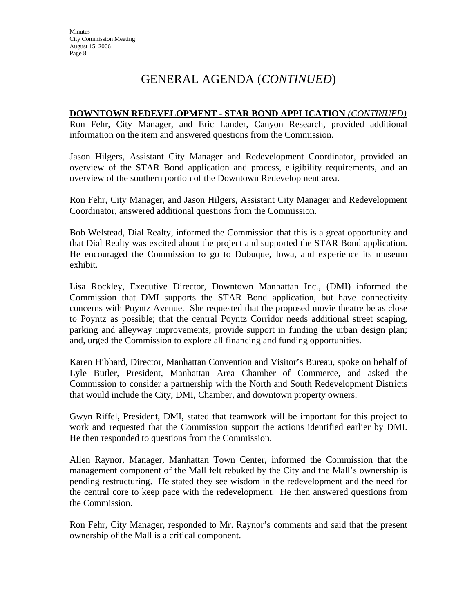#### **DOWNTOWN REDEVELOPMENT - STAR BOND APPLICATION** *(CONTINUED)*

Ron Fehr, City Manager, and Eric Lander, Canyon Research, provided additional information on the item and answered questions from the Commission.

Jason Hilgers, Assistant City Manager and Redevelopment Coordinator, provided an overview of the STAR Bond application and process, eligibility requirements, and an overview of the southern portion of the Downtown Redevelopment area.

Ron Fehr, City Manager, and Jason Hilgers, Assistant City Manager and Redevelopment Coordinator, answered additional questions from the Commission.

Bob Welstead, Dial Realty, informed the Commission that this is a great opportunity and that Dial Realty was excited about the project and supported the STAR Bond application. He encouraged the Commission to go to Dubuque, Iowa, and experience its museum exhibit.

Lisa Rockley, Executive Director, Downtown Manhattan Inc., (DMI) informed the Commission that DMI supports the STAR Bond application, but have connectivity concerns with Poyntz Avenue. She requested that the proposed movie theatre be as close to Poyntz as possible; that the central Poyntz Corridor needs additional street scaping, parking and alleyway improvements; provide support in funding the urban design plan; and, urged the Commission to explore all financing and funding opportunities.

Karen Hibbard, Director, Manhattan Convention and Visitor's Bureau, spoke on behalf of Lyle Butler, President, Manhattan Area Chamber of Commerce, and asked the Commission to consider a partnership with the North and South Redevelopment Districts that would include the City, DMI, Chamber, and downtown property owners.

Gwyn Riffel, President, DMI, stated that teamwork will be important for this project to work and requested that the Commission support the actions identified earlier by DMI. He then responded to questions from the Commission.

Allen Raynor, Manager, Manhattan Town Center, informed the Commission that the management component of the Mall felt rebuked by the City and the Mall's ownership is pending restructuring. He stated they see wisdom in the redevelopment and the need for the central core to keep pace with the redevelopment. He then answered questions from the Commission.

Ron Fehr, City Manager, responded to Mr. Raynor's comments and said that the present ownership of the Mall is a critical component.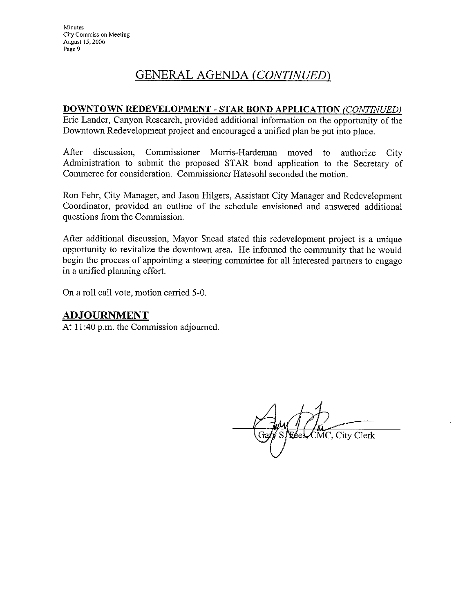#### DOWNTOWN REDEVELOPMENT - STAR BOND APPLICATION (CONTINUED)

Eric Lander, Canyon Research, provided additional information on the opportunity of the Downtown Redevelopment project and encouraged a unified plan be put into place.

After discussion. Commissioner Morris-Hardeman moved to authorize City Administration to submit the proposed STAR bond application to the Secretary of Commerce for consideration. Commissioner Hatesohl seconded the motion.

Ron Fehr, City Manager, and Jason Hilgers, Assistant City Manager and Redevelopment Coordinator, provided an outline of the schedule envisioned and answered additional questions from the Commission.

After additional discussion, Mayor Snead stated this redevelopment project is a unique opportunity to revitalize the downtown area. He informed the community that he would begin the process of appointing a steering committee for all interested partners to engage in a unified planning effort.

On a roll call vote, motion carried 5-0.

## **ADJOURNMENT**

At 11:40 p.m. the Commission adjourned.

CMC, City Clerk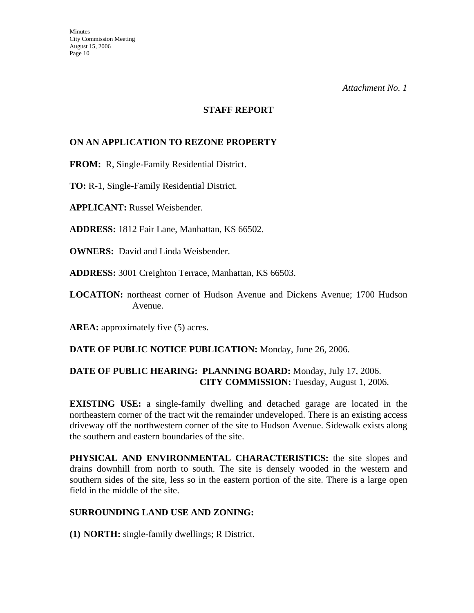#### **STAFF REPORT**

## **ON AN APPLICATION TO REZONE PROPERTY**

**FROM:** R, Single-Family Residential District.

**TO:** R-1, Single-Family Residential District.

**APPLICANT:** Russel Weisbender.

**ADDRESS:** 1812 Fair Lane, Manhattan, KS 66502.

**OWNERS:** David and Linda Weisbender.

**ADDRESS:** 3001 Creighton Terrace, Manhattan, KS 66503.

**LOCATION:** northeast corner of Hudson Avenue and Dickens Avenue; 1700 Hudson Avenue.

AREA: approximately five (5) acres.

**DATE OF PUBLIC NOTICE PUBLICATION:** Monday, June 26, 2006.

## **DATE OF PUBLIC HEARING: PLANNING BOARD:** Monday, July 17, 2006. **CITY COMMISSION:** Tuesday, August 1, 2006.

**EXISTING USE:** a single-family dwelling and detached garage are located in the northeastern corner of the tract wit the remainder undeveloped. There is an existing access driveway off the northwestern corner of the site to Hudson Avenue. Sidewalk exists along the southern and eastern boundaries of the site.

**PHYSICAL AND ENVIRONMENTAL CHARACTERISTICS:** the site slopes and drains downhill from north to south. The site is densely wooded in the western and southern sides of the site, less so in the eastern portion of the site. There is a large open field in the middle of the site.

## **SURROUNDING LAND USE AND ZONING:**

**(1) NORTH:** single-family dwellings; R District.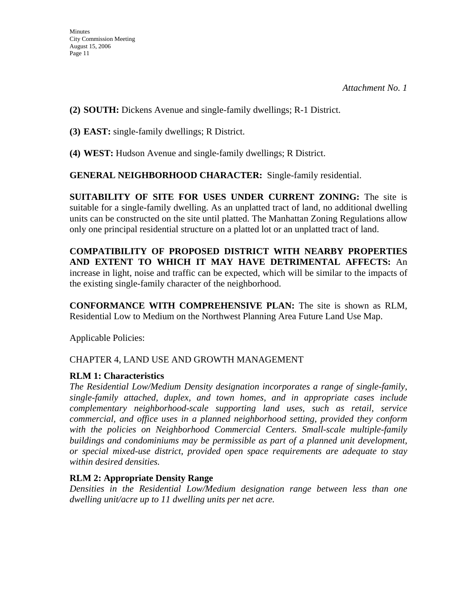**(2) SOUTH:** Dickens Avenue and single-family dwellings; R-1 District.

**(3) EAST:** single-family dwellings; R District.

**(4) WEST:** Hudson Avenue and single-family dwellings; R District.

**GENERAL NEIGHBORHOOD CHARACTER:** Single-family residential.

**SUITABILITY OF SITE FOR USES UNDER CURRENT ZONING:** The site is suitable for a single-family dwelling. As an unplatted tract of land, no additional dwelling units can be constructed on the site until platted. The Manhattan Zoning Regulations allow only one principal residential structure on a platted lot or an unplatted tract of land.

**COMPATIBILITY OF PROPOSED DISTRICT WITH NEARBY PROPERTIES AND EXTENT TO WHICH IT MAY HAVE DETRIMENTAL AFFECTS:** An increase in light, noise and traffic can be expected, which will be similar to the impacts of the existing single-family character of the neighborhood.

**CONFORMANCE WITH COMPREHENSIVE PLAN:** The site is shown as RLM, Residential Low to Medium on the Northwest Planning Area Future Land Use Map.

Applicable Policies:

CHAPTER 4, LAND USE AND GROWTH MANAGEMENT

## **RLM 1: Characteristics**

*The Residential Low/Medium Density designation incorporates a range of single-family, single-family attached, duplex, and town homes, and in appropriate cases include complementary neighborhood-scale supporting land uses, such as retail, service commercial, and office uses in a planned neighborhood setting, provided they conform*  with the policies on Neighborhood Commercial Centers. Small-scale multiple-family *buildings and condominiums may be permissible as part of a planned unit development, or special mixed-use district, provided open space requirements are adequate to stay within desired densities.* 

## **RLM 2: Appropriate Density Range**

*Densities in the Residential Low/Medium designation range between less than one dwelling unit/acre up to 11 dwelling units per net acre.*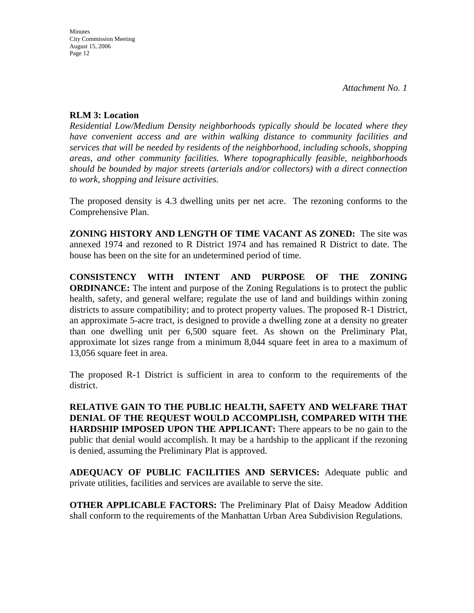#### **RLM 3: Location**

*Residential Low/Medium Density neighborhoods typically should be located where they have convenient access and are within walking distance to community facilities and services that will be needed by residents of the neighborhood, including schools, shopping areas, and other community facilities. Where topographically feasible, neighborhoods should be bounded by major streets (arterials and/or collectors) with a direct connection to work, shopping and leisure activities.* 

The proposed density is 4.3 dwelling units per net acre. The rezoning conforms to the Comprehensive Plan.

**ZONING HISTORY AND LENGTH OF TIME VACANT AS ZONED:** The site was annexed 1974 and rezoned to R District 1974 and has remained R District to date. The house has been on the site for an undetermined period of time.

**CONSISTENCY WITH INTENT AND PURPOSE OF THE ZONING ORDINANCE:** The intent and purpose of the Zoning Regulations is to protect the public health, safety, and general welfare; regulate the use of land and buildings within zoning districts to assure compatibility; and to protect property values. The proposed R-1 District, an approximate 5-acre tract, is designed to provide a dwelling zone at a density no greater than one dwelling unit per 6,500 square feet. As shown on the Preliminary Plat, approximate lot sizes range from a minimum 8,044 square feet in area to a maximum of 13,056 square feet in area.

The proposed R-1 District is sufficient in area to conform to the requirements of the district.

**RELATIVE GAIN TO THE PUBLIC HEALTH, SAFETY AND WELFARE THAT DENIAL OF THE REQUEST WOULD ACCOMPLISH, COMPARED WITH THE HARDSHIP IMPOSED UPON THE APPLICANT:** There appears to be no gain to the public that denial would accomplish. It may be a hardship to the applicant if the rezoning is denied, assuming the Preliminary Plat is approved.

**ADEQUACY OF PUBLIC FACILITIES AND SERVICES:** Adequate public and private utilities, facilities and services are available to serve the site.

**OTHER APPLICABLE FACTORS:** The Preliminary Plat of Daisy Meadow Addition shall conform to the requirements of the Manhattan Urban Area Subdivision Regulations.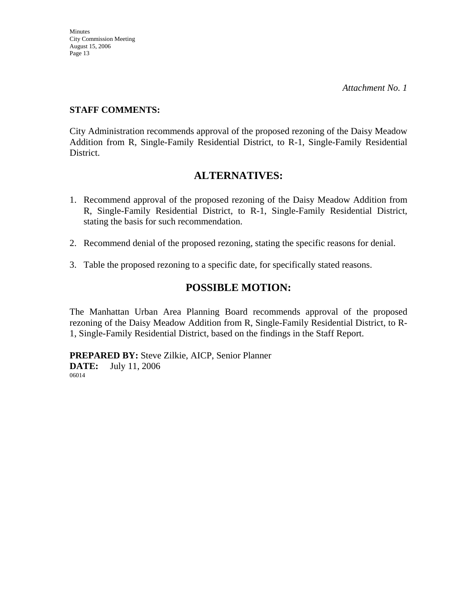*Attachment No. 1* 

## **STAFF COMMENTS:**

City Administration recommends approval of the proposed rezoning of the Daisy Meadow Addition from R, Single-Family Residential District, to R-1, Single-Family Residential District.

## **ALTERNATIVES:**

- 1. Recommend approval of the proposed rezoning of the Daisy Meadow Addition from R, Single-Family Residential District, to R-1, Single-Family Residential District, stating the basis for such recommendation.
- 2. Recommend denial of the proposed rezoning, stating the specific reasons for denial.
- 3. Table the proposed rezoning to a specific date, for specifically stated reasons.

## **POSSIBLE MOTION:**

The Manhattan Urban Area Planning Board recommends approval of the proposed rezoning of the Daisy Meadow Addition from R, Single-Family Residential District, to R-1, Single-Family Residential District, based on the findings in the Staff Report.

**PREPARED BY:** Steve Zilkie, AICP, Senior Planner **DATE:** July 11, 2006 06014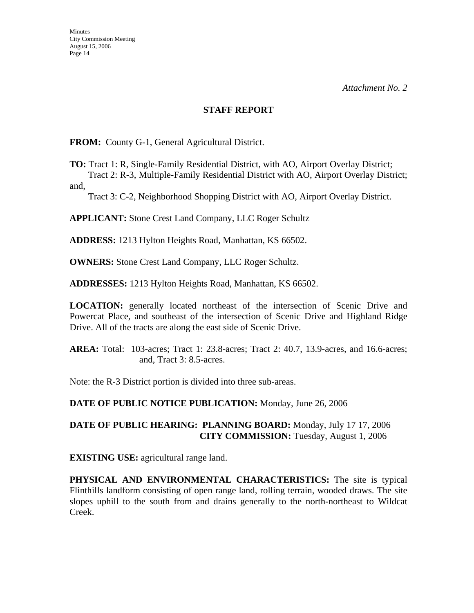#### **STAFF REPORT**

**FROM:** County G-1, General Agricultural District.

**TO:** Tract 1: R, Single-Family Residential District, with AO, Airport Overlay District; Tract 2: R-3, Multiple-Family Residential District with AO, Airport Overlay District;

and,

Tract 3: C-2, Neighborhood Shopping District with AO, Airport Overlay District.

**APPLICANT:** Stone Crest Land Company, LLC Roger Schultz

**ADDRESS:** 1213 Hylton Heights Road, Manhattan, KS 66502.

**OWNERS:** Stone Crest Land Company, LLC Roger Schultz.

**ADDRESSES:** 1213 Hylton Heights Road, Manhattan, KS 66502.

**LOCATION:** generally located northeast of the intersection of Scenic Drive and Powercat Place, and southeast of the intersection of Scenic Drive and Highland Ridge Drive. All of the tracts are along the east side of Scenic Drive.

**AREA:** Total: 103-acres; Tract 1: 23.8-acres; Tract 2: 40.7, 13.9-acres, and 16.6-acres; and, Tract 3: 8.5-acres.

Note: the R-3 District portion is divided into three sub-areas.

**DATE OF PUBLIC NOTICE PUBLICATION:** Monday, June 26, 2006

#### **DATE OF PUBLIC HEARING: PLANNING BOARD:** Monday, July 17 17, 2006 **CITY COMMISSION:** Tuesday, August 1, 2006

**EXISTING USE:** agricultural range land.

**PHYSICAL AND ENVIRONMENTAL CHARACTERISTICS:** The site is typical Flinthills landform consisting of open range land, rolling terrain, wooded draws. The site slopes uphill to the south from and drains generally to the north-northeast to Wildcat Creek.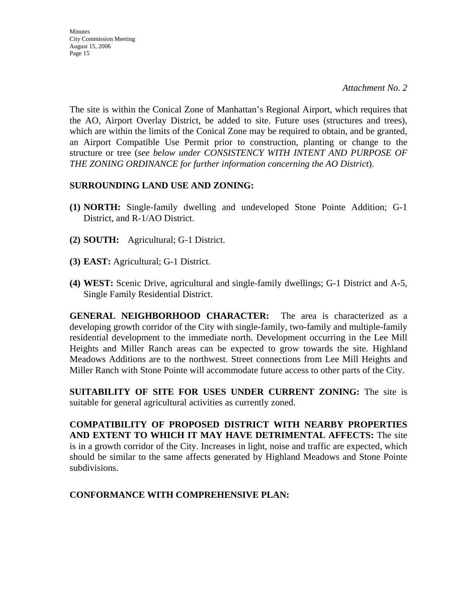**Minutes** City Commission Meeting August 15, 2006 Page 15

The site is within the Conical Zone of Manhattan's Regional Airport, which requires that the AO, Airport Overlay District, be added to site. Future uses (structures and trees), which are within the limits of the Conical Zone may be required to obtain, and be granted, an Airport Compatible Use Permit prior to construction, planting or change to the structure or tree (*see below under CONSISTENCY WITH INTENT AND PURPOSE OF THE ZONING ORDINANCE for further information concerning the AO District*).

## **SURROUNDING LAND USE AND ZONING:**

- **(1) NORTH:** Single-family dwelling and undeveloped Stone Pointe Addition; G-1 District, and R-1/AO District.
- **(2) SOUTH:** Agricultural; G-1 District.
- **(3) EAST:** Agricultural; G-1 District.
- **(4) WEST:** Scenic Drive, agricultural and single-family dwellings; G-1 District and A-5, Single Family Residential District.

**GENERAL NEIGHBORHOOD CHARACTER:** The area is characterized as a developing growth corridor of the City with single-family, two-family and multiple-family residential development to the immediate north. Development occurring in the Lee Mill Heights and Miller Ranch areas can be expected to grow towards the site. Highland Meadows Additions are to the northwest. Street connections from Lee Mill Heights and Miller Ranch with Stone Pointe will accommodate future access to other parts of the City.

**SUITABILITY OF SITE FOR USES UNDER CURRENT ZONING:** The site is suitable for general agricultural activities as currently zoned.

**COMPATIBILITY OF PROPOSED DISTRICT WITH NEARBY PROPERTIES AND EXTENT TO WHICH IT MAY HAVE DETRIMENTAL AFFECTS:** The site is in a growth corridor of the City. Increases in light, noise and traffic are expected, which should be similar to the same affects generated by Highland Meadows and Stone Pointe subdivisions.

#### **CONFORMANCE WITH COMPREHENSIVE PLAN:**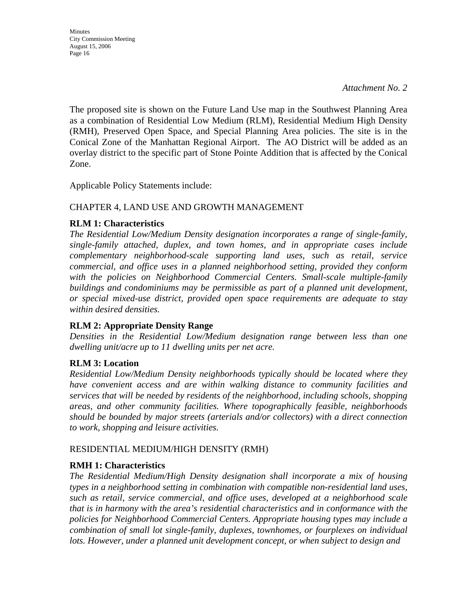*Attachment No. 2* 

The proposed site is shown on the Future Land Use map in the Southwest Planning Area as a combination of Residential Low Medium (RLM), Residential Medium High Density (RMH), Preserved Open Space, and Special Planning Area policies. The site is in the Conical Zone of the Manhattan Regional Airport. The AO District will be added as an overlay district to the specific part of Stone Pointe Addition that is affected by the Conical Zone.

Applicable Policy Statements include:

## CHAPTER 4, LAND USE AND GROWTH MANAGEMENT

## **RLM 1: Characteristics**

*The Residential Low/Medium Density designation incorporates a range of single-family, single-family attached, duplex, and town homes, and in appropriate cases include complementary neighborhood-scale supporting land uses, such as retail, service commercial, and office uses in a planned neighborhood setting, provided they conform*  with the policies on Neighborhood Commercial Centers. Small-scale multiple-family *buildings and condominiums may be permissible as part of a planned unit development, or special mixed-use district, provided open space requirements are adequate to stay within desired densities.* 

## **RLM 2: Appropriate Density Range**

*Densities in the Residential Low/Medium designation range between less than one dwelling unit/acre up to 11 dwelling units per net acre.* 

## **RLM 3: Location**

*Residential Low/Medium Density neighborhoods typically should be located where they have convenient access and are within walking distance to community facilities and services that will be needed by residents of the neighborhood, including schools, shopping areas, and other community facilities. Where topographically feasible, neighborhoods should be bounded by major streets (arterials and/or collectors) with a direct connection to work, shopping and leisure activities.* 

## RESIDENTIAL MEDIUM/HIGH DENSITY (RMH)

## **RMH 1: Characteristics**

*The Residential Medium/High Density designation shall incorporate a mix of housing types in a neighborhood setting in combination with compatible non-residential land uses, such as retail, service commercial, and office uses, developed at a neighborhood scale that is in harmony with the area's residential characteristics and in conformance with the policies for Neighborhood Commercial Centers. Appropriate housing types may include a combination of small lot single-family, duplexes, townhomes, or fourplexes on individual*  lots. However, under a planned unit development concept, or when subject to design and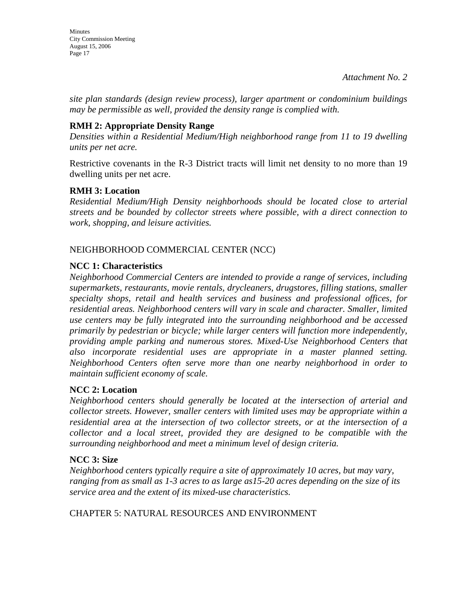**Minutes** City Commission Meeting August 15, 2006 Page 17

*site plan standards (design review process), larger apartment or condominium buildings may be permissible as well, provided the density range is complied with.* 

## **RMH 2: Appropriate Density Range**

*Densities within a Residential Medium/High neighborhood range from 11 to 19 dwelling units per net acre.* 

Restrictive covenants in the R-3 District tracts will limit net density to no more than 19 dwelling units per net acre.

#### **RMH 3: Location**

*Residential Medium/High Density neighborhoods should be located close to arterial streets and be bounded by collector streets where possible, with a direct connection to work, shopping, and leisure activities.* 

## NEIGHBORHOOD COMMERCIAL CENTER (NCC)

## **NCC 1: Characteristics**

*Neighborhood Commercial Centers are intended to provide a range of services, including supermarkets, restaurants, movie rentals, drycleaners, drugstores, filling stations, smaller specialty shops, retail and health services and business and professional offices, for residential areas. Neighborhood centers will vary in scale and character. Smaller, limited use centers may be fully integrated into the surrounding neighborhood and be accessed primarily by pedestrian or bicycle; while larger centers will function more independently, providing ample parking and numerous stores. Mixed-Use Neighborhood Centers that also incorporate residential uses are appropriate in a master planned setting. Neighborhood Centers often serve more than one nearby neighborhood in order to maintain sufficient economy of scale.* 

## **NCC 2: Location**

*Neighborhood centers should generally be located at the intersection of arterial and collector streets. However, smaller centers with limited uses may be appropriate within a residential area at the intersection of two collector streets, or at the intersection of a collector and a local street, provided they are designed to be compatible with the surrounding neighborhood and meet a minimum level of design criteria.* 

## **NCC 3: Size**

*Neighborhood centers typically require a site of approximately 10 acres, but may vary, ranging from as small as 1-3 acres to as large as15-20 acres depending on the size of its service area and the extent of its mixed-use characteristics.* 

CHAPTER 5: NATURAL RESOURCES AND ENVIRONMENT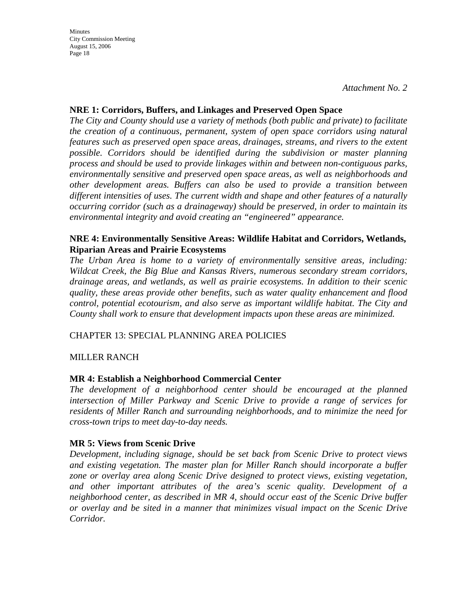*Attachment No. 2* 

## **NRE 1: Corridors, Buffers, and Linkages and Preserved Open Space**

*The City and County should use a variety of methods (both public and private) to facilitate the creation of a continuous, permanent, system of open space corridors using natural features such as preserved open space areas, drainages, streams, and rivers to the extent possible. Corridors should be identified during the subdivision or master planning process and should be used to provide linkages within and between non-contiguous parks, environmentally sensitive and preserved open space areas, as well as neighborhoods and other development areas. Buffers can also be used to provide a transition between different intensities of uses. The current width and shape and other features of a naturally occurring corridor (such as a drainageway) should be preserved, in order to maintain its environmental integrity and avoid creating an "engineered" appearance.* 

#### **NRE 4: Environmentally Sensitive Areas: Wildlife Habitat and Corridors, Wetlands, Riparian Areas and Prairie Ecosystems**

*The Urban Area is home to a variety of environmentally sensitive areas, including: Wildcat Creek, the Big Blue and Kansas Rivers, numerous secondary stream corridors, drainage areas, and wetlands, as well as prairie ecosystems. In addition to their scenic quality, these areas provide other benefits, such as water quality enhancement and flood control, potential ecotourism, and also serve as important wildlife habitat. The City and County shall work to ensure that development impacts upon these areas are minimized.* 

#### CHAPTER 13: SPECIAL PLANNING AREA POLICIES

## MILLER RANCH

#### **MR 4: Establish a Neighborhood Commercial Center**

*The development of a neighborhood center should be encouraged at the planned intersection of Miller Parkway and Scenic Drive to provide a range of services for residents of Miller Ranch and surrounding neighborhoods, and to minimize the need for cross-town trips to meet day-to-day needs.* 

#### **MR 5: Views from Scenic Drive**

*Development, including signage, should be set back from Scenic Drive to protect views and existing vegetation. The master plan for Miller Ranch should incorporate a buffer zone or overlay area along Scenic Drive designed to protect views, existing vegetation, and other important attributes of the area's scenic quality. Development of a neighborhood center, as described in MR 4, should occur east of the Scenic Drive buffer or overlay and be sited in a manner that minimizes visual impact on the Scenic Drive Corridor.*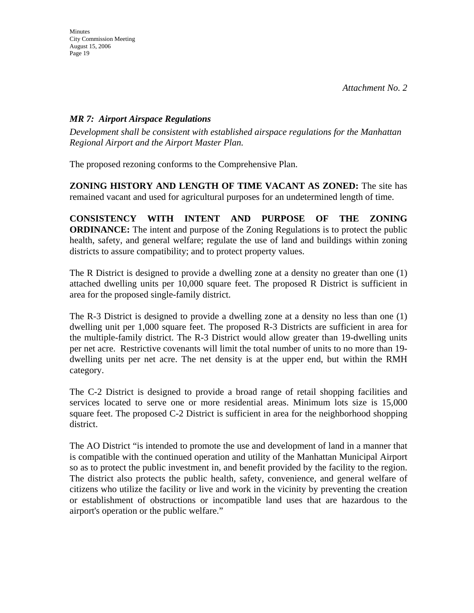## *MR 7: Airport Airspace Regulations*

*Development shall be consistent with established airspace regulations for the Manhattan Regional Airport and the Airport Master Plan.* 

The proposed rezoning conforms to the Comprehensive Plan.

**ZONING HISTORY AND LENGTH OF TIME VACANT AS ZONED:** The site has remained vacant and used for agricultural purposes for an undetermined length of time.

**CONSISTENCY WITH INTENT AND PURPOSE OF THE ZONING ORDINANCE:** The intent and purpose of the Zoning Regulations is to protect the public health, safety, and general welfare; regulate the use of land and buildings within zoning districts to assure compatibility; and to protect property values.

The R District is designed to provide a dwelling zone at a density no greater than one (1) attached dwelling units per 10,000 square feet. The proposed R District is sufficient in area for the proposed single-family district.

The R-3 District is designed to provide a dwelling zone at a density no less than one (1) dwelling unit per 1,000 square feet. The proposed R-3 Districts are sufficient in area for the multiple-family district. The R-3 District would allow greater than 19-dwelling units per net acre. Restrictive covenants will limit the total number of units to no more than 19 dwelling units per net acre. The net density is at the upper end, but within the RMH category.

The C-2 District is designed to provide a broad range of retail shopping facilities and services located to serve one or more residential areas. Minimum lots size is 15,000 square feet. The proposed C-2 District is sufficient in area for the neighborhood shopping district.

The AO District "is intended to promote the use and development of land in a manner that is compatible with the continued operation and utility of the Manhattan Municipal Airport so as to protect the public investment in, and benefit provided by the facility to the region. The district also protects the public health, safety, convenience, and general welfare of citizens who utilize the facility or live and work in the vicinity by preventing the creation or establishment of obstructions or incompatible land uses that are hazardous to the airport's operation or the public welfare."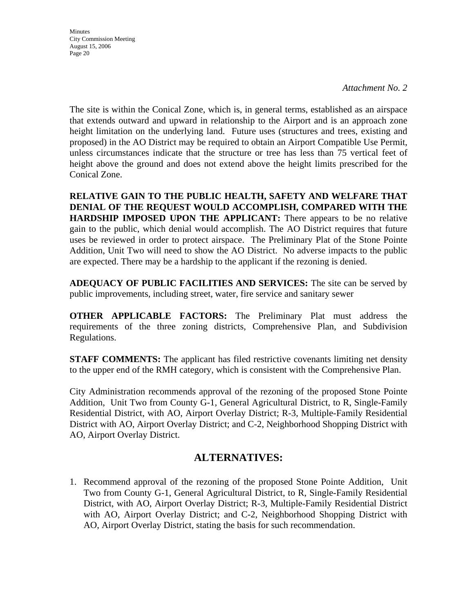*Attachment No. 2* 

The site is within the Conical Zone, which is, in general terms, established as an airspace that extends outward and upward in relationship to the Airport and is an approach zone height limitation on the underlying land. Future uses (structures and trees, existing and proposed) in the AO District may be required to obtain an Airport Compatible Use Permit, unless circumstances indicate that the structure or tree has less than 75 vertical feet of height above the ground and does not extend above the height limits prescribed for the Conical Zone.

**RELATIVE GAIN TO THE PUBLIC HEALTH, SAFETY AND WELFARE THAT DENIAL OF THE REQUEST WOULD ACCOMPLISH, COMPARED WITH THE HARDSHIP IMPOSED UPON THE APPLICANT:** There appears to be no relative gain to the public, which denial would accomplish. The AO District requires that future uses be reviewed in order to protect airspace. The Preliminary Plat of the Stone Pointe Addition, Unit Two will need to show the AO District. No adverse impacts to the public are expected. There may be a hardship to the applicant if the rezoning is denied.

**ADEQUACY OF PUBLIC FACILITIES AND SERVICES:** The site can be served by public improvements, including street, water, fire service and sanitary sewer

**OTHER APPLICABLE FACTORS:** The Preliminary Plat must address the requirements of the three zoning districts, Comprehensive Plan, and Subdivision Regulations.

**STAFF COMMENTS:** The applicant has filed restrictive covenants limiting net density to the upper end of the RMH category, which is consistent with the Comprehensive Plan.

City Administration recommends approval of the rezoning of the proposed Stone Pointe Addition, Unit Two from County G-1, General Agricultural District, to R, Single-Family Residential District, with AO, Airport Overlay District; R-3, Multiple-Family Residential District with AO, Airport Overlay District; and C-2, Neighborhood Shopping District with AO, Airport Overlay District.

## **ALTERNATIVES:**

1. Recommend approval of the rezoning of the proposed Stone Pointe Addition, Unit Two from County G-1, General Agricultural District, to R, Single-Family Residential District, with AO, Airport Overlay District; R-3, Multiple-Family Residential District with AO, Airport Overlay District; and C-2, Neighborhood Shopping District with AO, Airport Overlay District, stating the basis for such recommendation.